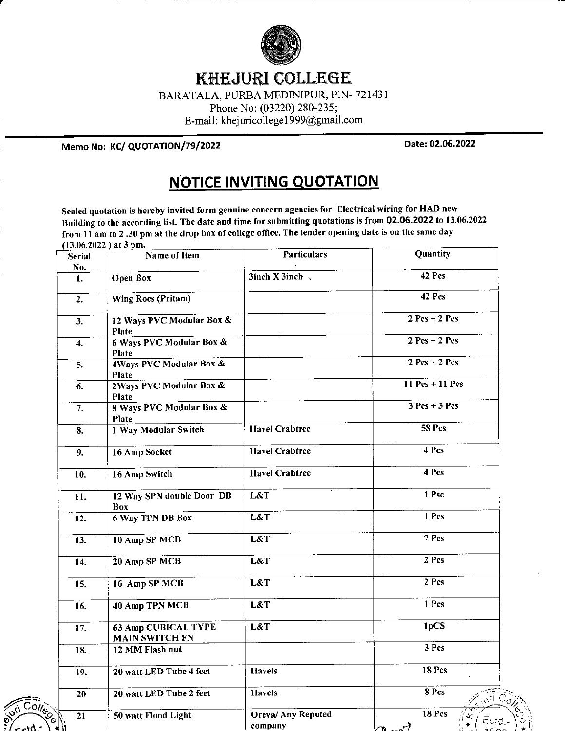

## KHEJURI COLLEGE

BARATALA, PURBA MEDINIPUR, PIN. 72143 <sup>1</sup>

Phone No: (03220) 280-235;

E-mail: khejuricollege 1 999@gmail.com

Memo No: KC/ QUOTATION/79/2022 Date: 02.06.2022

## NOTICE INVITING QUOTATION

Sealed quotation is hereby invited form genuine concern agencies for Electrical wiring for HAD new Building to the according list. The date and time for submitting quotations is from 02.06.2022 to 13.06.2022 from 11 am to 2 .30 pm at the drop box of college office. The tender opening date is on the same day  $(13.06.2022)$  at 3 pm.

|                                        | Serial           | Name of Item                                        | <b>Particulars</b>        | Quantity          |
|----------------------------------------|------------------|-----------------------------------------------------|---------------------------|-------------------|
|                                        | No.              |                                                     |                           |                   |
|                                        | 1.               | <b>Open Box</b>                                     | $3$ inch X $3$ inch,      | 42 Pcs            |
|                                        | 2.               | Wing Roes (Pritam)                                  |                           | 42 Pcs            |
|                                        | 3.               | 12 Ways PVC Modular Box &<br>Plate                  |                           | $2$ Pcs + 2 Pcs   |
|                                        | $\boldsymbol{4}$ | <b>6 Ways PVC Modular Box &amp;</b><br>Plate        |                           | $2$ Pcs + 2 Pcs   |
|                                        | 5.               | 4Ways PVC Modular Box &<br>Plate                    |                           | $2$ Pcs + 2 Pcs   |
|                                        | 6.               | 2Ways PVC Modular Box &<br>Plate                    |                           | $11$ Pcs + 11 Pcs |
|                                        | 7.               | 8 Ways PVC Modular Box &<br>Plate                   |                           | $3$ Pcs + 3 Pcs   |
|                                        | 8.               | <b>1 Way Modular Switch</b>                         | <b>Havel Crabtree</b>     | 58 Pcs            |
|                                        | 9.               | 16 Amp Socket                                       | <b>Havel Crabtree</b>     | 4 Pcs             |
|                                        | 10.              | 16 Amp Switch                                       | <b>Havel Crabtree</b>     | 4 Pcs             |
|                                        | 11.              | 12 Way SPN double Door DB<br>Box                    | L&T                       | 1 Psc             |
|                                        | 12.              | <b>6 Way TPN DB Box</b>                             | L&T                       | 1 Pcs             |
|                                        | 13.              | 10 Amp SP MCB                                       | L&T                       | 7 Pcs             |
|                                        | 14.              | 20 Amp SP MCB                                       | L&T                       | 2 Pcs             |
|                                        | 15.              | 16 Amp SP MCB                                       | L&T                       | 2 Pcs             |
|                                        | 16.              | 40 Amp TPN MCB                                      | L&T                       | 1 Pcs             |
|                                        | 17.              | <b>63 Amp CUBICAL TYPE</b><br><b>MAIN SWITCH FN</b> | L&T                       | 1pCS              |
|                                        | 18.              | 12 MM Flash nut                                     |                           | 3 Pcs             |
|                                        | 19.              | 20 watt LED Tube 4 feet                             | Havels                    | 18 Pcs            |
|                                        | 20               | 20 watt LED Tube 2 feet                             | <b>Havels</b>             | $8$ Pcs<br>. sri  |
| $\overline{C_{O}/C_{O}}$<br><b>VIV</b> | 21               | 50 watt Flood Light                                 | <b>Oreva/ Any Reputed</b> | 18 Pcs            |
| <u> 10ء ص</u>                          |                  |                                                     | company                   | كسمعه             |